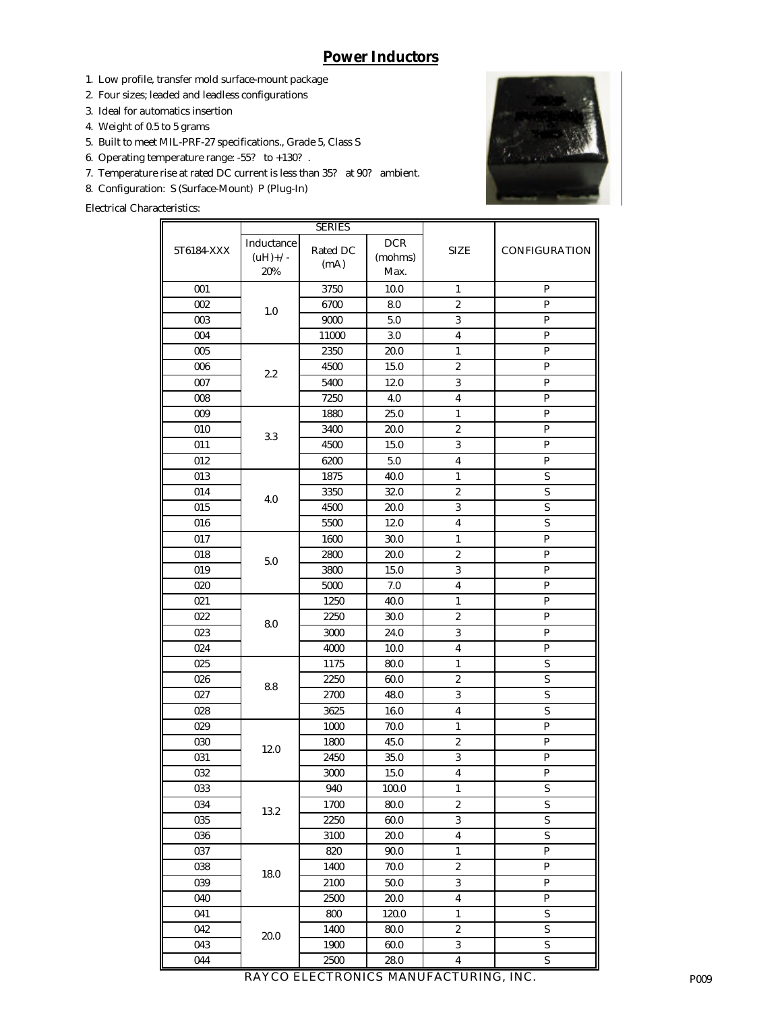## **Power Inductors**

- 1. Low profile, transfer mold surface-mount package
- 2. Four sizes; leaded and leadless configurations
- 3. Ideal for automatics insertion
- 4. Weight of 0.5 to 5 grams
- 5. Built to meet MIL-PRF-27 specifications., Grade 5, Class S
- 6. Operating temperature range: -55? to +130? .
- 7. Temperature rise at rated DC current is less than 35? at 90? ambient.
- 8. Configuration: S (Surface-Mount) P (Plug-In)

Electrical Characteristics:



|            | <b>SERIES</b>                   |                  |                          |                         |                         |
|------------|---------------------------------|------------------|--------------------------|-------------------------|-------------------------|
| 5T6184-XXX | Inductance<br>$(uH)$ +/-<br>20% | Rated DC<br>(mA) | $DCR$<br>(mohms)<br>Max. | <b>SIZE</b>             | CONFIGURATION           |
| 001        | 1.0                             | 3750             | 10.0                     | $\mathbf{1}$            | $\mathbf{P}$            |
| 002        |                                 | 6700             | 8.0                      | $\boldsymbol{2}$        | $\mathbf P$             |
| 003        |                                 | 9000             | 5.0                      | $\sqrt{3}$              | $\mathbf P$             |
| 004        |                                 | 11000            | 3.0                      | $\pmb{4}$               | $\mathbf{P}$            |
| 005        | $2.2\,$                         | 2350             | 20.0                     | $\mathbf{1}$            | ${\bf P}$               |
| 006        |                                 | 4500             | 15.0                     | $\boldsymbol{2}$        | ${\bf P}$               |
| 007        |                                 | 5400             | 12.0                     | $\overline{3}$          | ${\bf P}$               |
| 008        |                                 | 7250             | 4.0                      | $\boldsymbol{4}$        | ${\bf P}$               |
| 009        |                                 | 1880             | 25.0                     | $\mathbf{1}$            | ${\bf P}$               |
| 010        | 3.3                             | 3400             | 20.0                     | $\boldsymbol{2}$        | ${\bf P}$               |
| 011        |                                 | 4500             | 15.0                     | 3                       | ${\bf P}$               |
| 012        |                                 | 6200             | 5.0                      | 4                       | ${\bf P}$               |
| 013        |                                 | 1875             | 40.0                     | $\mathbf{1}$            | $\mathbf S$             |
| 014        | 4.0                             | 3350             | 32.0                     | $\boldsymbol{2}$        | $\mathbf S$             |
| 015        |                                 | 4500             | 20.0                     | 3                       | $\mathbf S$             |
| 016        |                                 | 5500             | 12.0                     | 4                       | S                       |
| 017        |                                 | 1600             | 30.0                     | $\mathbf{1}$            | P                       |
| 018        |                                 | 2800             | 20.0                     | $\boldsymbol{2}$        | P                       |
| 019        | 5.0                             | 3800             | 15.0                     | 3                       | $\mathbf{P}$            |
| 020        |                                 | 5000             | 7.0                      | 4                       | $\mathbf{P}$            |
| 021        |                                 | 1250             | 40.0                     | $\mathbf{1}$            | P                       |
| 022        |                                 | 2250             | 30.0                     | 2                       | P                       |
| 023        | 8.0                             | 3000             | 24.0                     | 3                       | P                       |
| 024        |                                 | 4000             | 10.0                     | 4                       | ${\bf P}$               |
| 025        |                                 | 1175             | 80.0                     | $\mathbf{1}$            | $\mathbf S$             |
| 026        |                                 | 2250             | 60.0                     | $\boldsymbol{2}$        | $\mathbf S$             |
| 027        | 8.8                             | 2700             | 48.0                     | $\sqrt{3}$              | $\mathbf S$             |
| 028        |                                 | 3625             | 16.0                     | $\pmb{4}$               | S                       |
| 029        |                                 | 1000             | 70.0                     | $\mathbf{1}$            | $\mathbf{P}$            |
| 030        |                                 | 1800             | 45.0                     | $\boldsymbol{2}$        | ${\bf P}$               |
| 031        | 12.0                            | 2450             | 35.0                     | $\overline{\mathbf{3}}$ | ${\bf P}$               |
| 032        |                                 | 3000             | 15.0                     | $\pmb{4}$               | ${\bf P}$               |
| 033        | 13.2                            | 940              | 100.0                    | $\mathbf{1}$            | $\mathbf S$             |
| 034        |                                 | 1700             | 80.0                     | $\boldsymbol{2}$        | S                       |
| 035        |                                 | 2250             | 60.0                     | $\sqrt{3}$              | $\mathbf S$             |
| 036        |                                 | 3100             | 20.0                     | $\boldsymbol{4}$        | $\mathbf S$             |
| 037        |                                 | 820              | 90.0                     | $\mathbf{1}$            | ${\bf P}$               |
| 038        |                                 | 1400             | 70.0                     | $\boldsymbol{2}$        | ${\bf P}$               |
| 039        | 18.0                            | 2100             | 50.0                     | $\overline{\mathbf{3}}$ | ${\bf P}$               |
| 040        |                                 | 2500             | 20.0                     | $\overline{\mathbf{4}}$ | ${\bf P}$               |
| 041        |                                 | 800              | 120.0                    | $\mathbf 1$             | ${\mathbf S}$           |
| 042        |                                 | 1400             | 80.0                     | $\boldsymbol{2}$        | $\mathbf S$             |
| 043        | 20.0                            | 1900             | 60.0                     | 3                       | $\mathbf S$             |
| 044        |                                 | 2500             | $28.0\,$                 | $\pmb{4}$               | $\overline{\mathbf{S}}$ |

RAYCO ELECTRONICS MANUFACTURING, INC. P009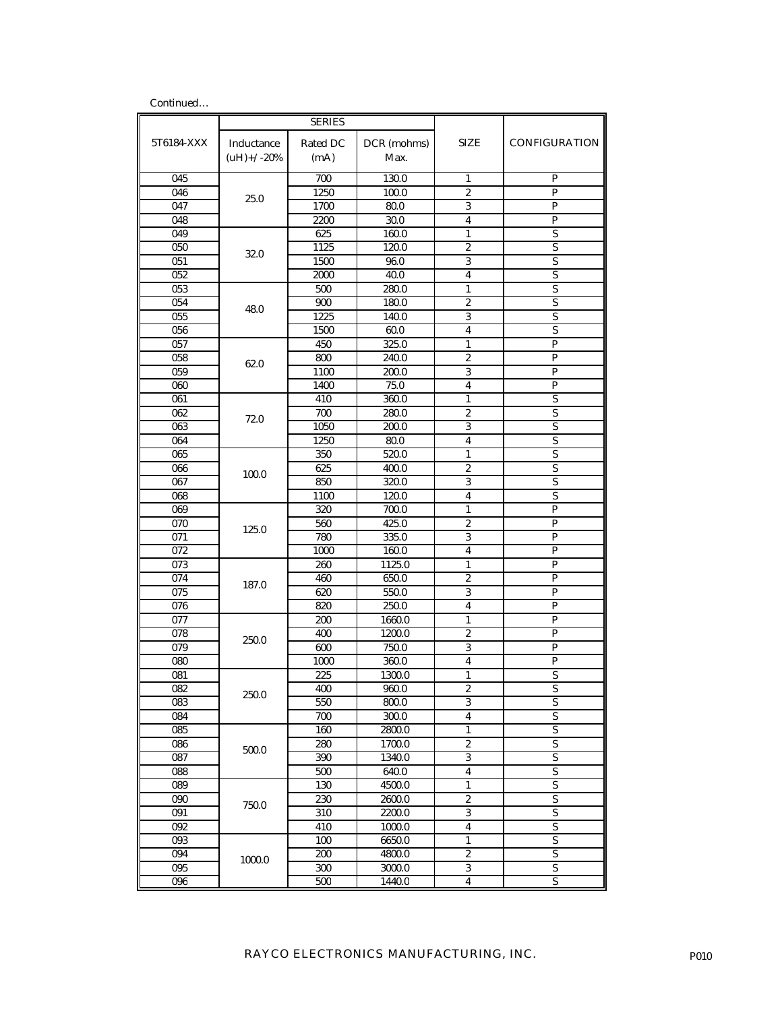| Continued  |                             |                  |                     |                         |                           |
|------------|-----------------------------|------------------|---------------------|-------------------------|---------------------------|
|            | <b>SERIES</b>               |                  |                     |                         |                           |
| 5T6184-XXX | Inductance<br>$(uH)$ +/-20% | Rated DC<br>(mA) | DCR (mohms)<br>Max. | SIZE                    | <b>CONFIGURATION</b>      |
| 045        | 25.0                        | 700              | 130.0               | $\mathbf{1}$            | P                         |
| 046        |                             | 1250             | 100.0               | $\overline{2}$          | P                         |
| 047        |                             | 1700             | 80.0                | 3                       | P                         |
| 048        |                             | 2200             | 30.0                | 4                       | P                         |
| 049        | 32.0                        | 625              | 160.0               | $\mathbf{1}$            | S                         |
| 050        |                             | 1125             | 120.0               | $\overline{2}$          | $\overline{S}$            |
| 051        |                             | 1500             | 96.0                | 3                       | $\mathbf S$               |
| 052        |                             | 2000             | 40.0                | 4                       | S                         |
| 053        | 48.0                        | 500              | 280.0               | 1                       | S                         |
| 054        |                             | 900              | 180.0               | $\overline{c}$          | S                         |
| 055        |                             | 1225             | 140.0               | 3                       | $\overline{S}$            |
| 056        |                             | 1500             | 60.0                | 4                       | S                         |
| 057        |                             | 450              | 325.0               | $\mathbf{1}$            | P                         |
| 058        | 62.0                        | 800              | 240.0               | 2                       | P                         |
| 059        |                             | 1100             | 200.0               | 3                       | $\mathbf{P}$              |
| 060        |                             | 1400             | 75.0                | $\overline{\mathbf{4}}$ | $\mathbf{P}$              |
| 061        | 72.0                        | 410              | 360.0               | $\mathbf{1}$            | S                         |
| 062        |                             | 700              | 280.0               | $\overline{c}$          | S                         |
| 063        |                             | 1050             | 200.0               | 3                       | S                         |
| 064        |                             | 1250             | 80.0                | $\overline{\mathbf{4}}$ | S                         |
| 065        | 100.0<br>125.0              | 350              | 520.0               | $\mathbf{1}$            | $\overline{S}$            |
| 066        |                             | 625              | 400.0               | $\overline{2}$          | S                         |
| 067        |                             | 850              | 320.0               | 3                       | S                         |
| 068        |                             | 1100             | 120.0               | 4                       | S                         |
| 069        |                             | 320              | 700.0               | $\mathbf{1}$            | $\mathbf{P}$              |
| 070        |                             | 560              | 425.0               | $\overline{2}$          | $\mathbf{P}$              |
| 071        |                             | 780              | 335.0               | 3                       | P                         |
| 072        |                             | 1000             | 160.0               | 4                       | P                         |
| 073<br>074 |                             | 260<br>460       | 1125.0<br>650.0     | 1<br>$\overline{c}$     | P<br>P                    |
| 075        | 187.0                       | 620              | 550.0               | 3                       | P                         |
| 076        |                             | 820              | 250.0               | 4                       | $\mathbf{P}$              |
| 077        |                             | 200              | 1660.0              | $\mathbf{1}$            | P                         |
| 078        | 250.0                       | 400              | 1200.0              | 2                       | P                         |
| 079        |                             | 600              | 750.0               | $\boldsymbol{3}$        | P                         |
| 080        |                             | 1000             | 360.0               | $\overline{\mathbf{4}}$ | ${\bf P}$                 |
| 081        | 250.0                       | 225              | 1300.0              | $\mathbf{1}$            | S                         |
| 082        |                             | 400              | 960.0               | $\overline{2}$          | $\mathbf S$               |
| 083        |                             | 550              | 800.0               | 3                       | S                         |
| 084        |                             | 700              | 300.0               | $\overline{\mathbf{4}}$ | $\overline{S}$            |
| 085        | 500.0                       | 160              | 2800.0              | $\mathbf{1}$            | $\overline{S}$            |
| 086        |                             | 280              | 1700.0              | $\boldsymbol{2}$        | $\overline{S}$            |
| 087        |                             | 390              | 1340.0              | $\sqrt{3}$              | $\boldsymbol{\mathsf{S}}$ |
| 088        |                             | 500              | 640.0               | 4                       | $\mathbf S$               |
| 089        | 750.0                       | 130              | 4500.0              | $\mathbf{1}$            | $\overline{S}$            |
| 090        |                             | 230              | 2600.0              | $\boldsymbol{2}$        | $\overline{S}$            |
| 091        |                             | 310              | 2200.0              | $\overline{3}$          | $\overline{S}$            |
| 092        |                             | 410              | 1000.0              | $\boldsymbol{4}$        | $\mathbf S$               |
| 093        |                             | 100              | 6650.0              | 1                       | S                         |
| 094        | 1000.0                      | 200              | 4800.0              | $\boldsymbol{2}$        | $\overline{S}$            |
| 095        |                             | 300              | 3000.0              | $\boldsymbol{3}$        | $\overline{S}$            |
| 096        |                             | 500              | 1440.0              | 4                       | $\mathbf S$               |